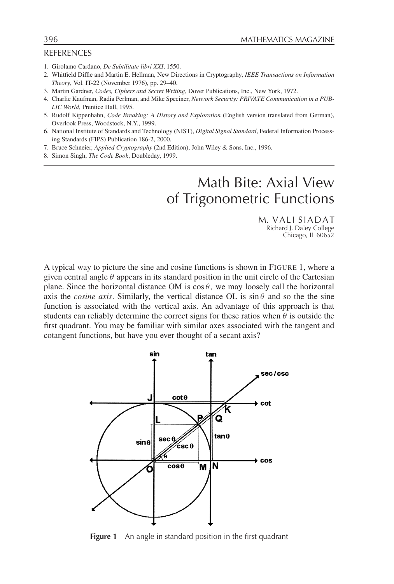## **REFERENCES**

- 1. Girolamo Cardano, *De Subtilitate libri XXI*, 1550.
- 2. Whitfield Diffie and Martin E. Hellman, New Directions in Cryptography, *IEEE Transactions on Information Theory*, Vol. IT-22 (November 1976), pp. 29–40.
- 3. Martin Gardner, *Codes, Ciphers and Secret Writing*, Dover Publications, Inc., New York, 1972.
- 4. Charlie Kaufman, Radia Perlman, and Mike Speciner, *Network Security: PRIVATE Communication in a PUB-LIC World*, Prentice Hall, 1995.
- 5. Rudolf Kippenhahn, *Code Breaking: A History and Exploration* (English version translated from German), Overlook Press, Woodstock, N.Y., 1999.
- 6. National Institute of Standards and Technology (NIST), *Digital Signal Standard*, Federal Information Processing Standards (FIPS) Publication 186-2, 2000.
- 7. Bruce Schneier, *Applied Cryptography* (2nd Edition), John Wiley & Sons, Inc., 1996.
- 8. Simon Singh, *The Code Book*, Doubleday, 1999.

## Math Bite: Axial View of Trigonometric Functions

M. VALI SIADAT Richard J. Daley College Chicago, IL 60652

A typical way to picture the sine and cosine functions is shown in FIGURE 1, where a given central angle  $\theta$  appears in its standard position in the unit circle of the Cartesian plane. Since the horizontal distance OM is  $\cos \theta$ , we may loosely call the horizontal axis the *cosine axis*. Similarly, the vertical distance OL is  $\sin \theta$  and so the the sine function is associated with the vertical axis. An advantage of this approach is that students can reliably determine the correct signs for these ratios when  $\theta$  is outside the first quadrant. You may be familiar with similar axes associated with the tangent and cotangent functions, but have you ever thought of a secant axis?



**Figure 1** An angle in standard position in the first quadrant